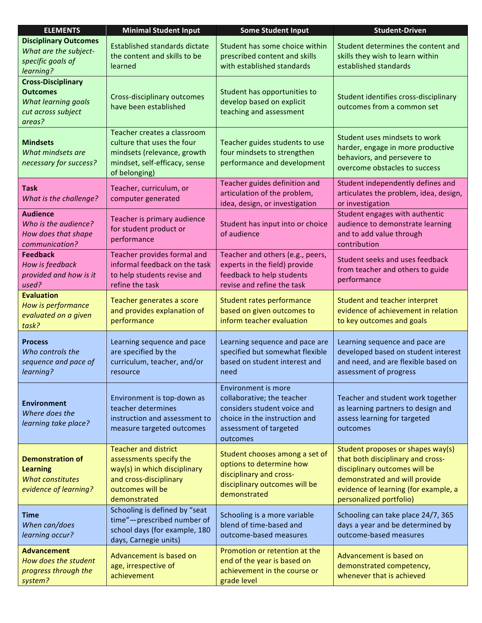| <b>ELEMENTS</b>                                                                                     | <b>Minimal Student Input</b>                                                                                                                         | <b>Some Student Input</b>                                                                                                                               | <b>Student-Driven</b>                                                                                                                                                                                       |
|-----------------------------------------------------------------------------------------------------|------------------------------------------------------------------------------------------------------------------------------------------------------|---------------------------------------------------------------------------------------------------------------------------------------------------------|-------------------------------------------------------------------------------------------------------------------------------------------------------------------------------------------------------------|
| <b>Disciplinary Outcomes</b><br>What are the subject-<br>specific goals of<br>learning?             | <b>Established standards dictate</b><br>the content and skills to be<br>learned                                                                      | Student has some choice within<br>prescribed content and skills<br>with established standards                                                           | Student determines the content and<br>skills they wish to learn within<br>established standards                                                                                                             |
| <b>Cross-Disciplinary</b><br><b>Outcomes</b><br>What learning goals<br>cut across subject<br>areas? | Cross-disciplinary outcomes<br>have been established                                                                                                 | Student has opportunities to<br>develop based on explicit<br>teaching and assessment                                                                    | Student identifies cross-disciplinary<br>outcomes from a common set                                                                                                                                         |
| <b>Mindsets</b><br>What mindsets are<br>necessary for success?                                      | Teacher creates a classroom<br>culture that uses the four<br>mindsets (relevance, growth<br>mindset, self-efficacy, sense<br>of belonging)           | Teacher guides students to use<br>four mindsets to strengthen<br>performance and development                                                            | Student uses mindsets to work<br>harder, engage in more productive<br>behaviors, and persevere to<br>overcome obstacles to success                                                                          |
| <b>Task</b><br>What is the challenge?                                                               | Teacher, curriculum, or<br>computer generated                                                                                                        | Teacher guides definition and<br>articulation of the problem,<br>idea, design, or investigation                                                         | Student independently defines and<br>articulates the problem, idea, design,<br>or investigation                                                                                                             |
| <b>Audience</b><br>Who is the audience?<br>How does that shape<br>communication?                    | Teacher is primary audience<br>for student product or<br>performance                                                                                 | Student has input into or choice<br>of audience                                                                                                         | Student engages with authentic<br>audience to demonstrate learning<br>and to add value through<br>contribution                                                                                              |
| <b>Feedback</b><br>How is feedback<br>provided and how is it<br>used?                               | Teacher provides formal and<br>informal feedback on the task<br>to help students revise and<br>refine the task                                       | Teacher and others (e.g., peers,<br>experts in the field) provide<br>feedback to help students<br>revise and refine the task                            | Student seeks and uses feedback<br>from teacher and others to guide<br>performance                                                                                                                          |
| <b>Evaluation</b><br>How is performance<br>evaluated on a given<br>task?                            | Teacher generates a score<br>and provides explanation of<br>performance                                                                              | Student rates performance<br>based on given outcomes to<br>inform teacher evaluation                                                                    | Student and teacher interpret<br>evidence of achievement in relation<br>to key outcomes and goals                                                                                                           |
| <b>Process</b><br>Who controls the<br>sequence and pace of<br>learning?                             | Learning sequence and pace<br>are specified by the<br>curriculum, teacher, and/or<br>resource                                                        | Learning sequence and pace are<br>specified but somewhat flexible<br>based on student interest and<br>need                                              | Learning sequence and pace are<br>developed based on student interest<br>and need, and are flexible based on<br>assessment of progress                                                                      |
| <b>Environment</b><br>Where does the<br>learning take place?                                        | Environment is top-down as<br>teacher determines<br>instruction and assessment to<br>measure targeted outcomes                                       | Environment is more<br>collaborative; the teacher<br>considers student voice and<br>choice in the instruction and<br>assessment of targeted<br>outcomes | Teacher and student work together<br>as learning partners to design and<br>assess learning for targeted<br>outcomes                                                                                         |
| <b>Demonstration of</b><br><b>Learning</b><br><b>What constitutes</b><br>evidence of learning?      | <b>Teacher and district</b><br>assessments specify the<br>way(s) in which disciplinary<br>and cross-disciplinary<br>outcomes will be<br>demonstrated | Student chooses among a set of<br>options to determine how<br>disciplinary and cross-<br>disciplinary outcomes will be<br>demonstrated                  | Student proposes or shapes way(s)<br>that both disciplinary and cross-<br>disciplinary outcomes will be<br>demonstrated and will provide<br>evidence of learning (for example, a<br>personalized portfolio) |
| <b>Time</b><br>When can/does<br>learning occur?                                                     | Schooling is defined by "seat<br>time"-prescribed number of<br>school days (for example, 180<br>days, Carnegie units)                                | Schooling is a more variable<br>blend of time-based and<br>outcome-based measures                                                                       | Schooling can take place 24/7, 365<br>days a year and be determined by<br>outcome-based measures                                                                                                            |
| <b>Advancement</b><br>How does the student<br>progress through the<br>system?                       | Advancement is based on<br>age, irrespective of<br>achievement                                                                                       | Promotion or retention at the<br>end of the year is based on<br>achievement in the course or<br>grade level                                             | Advancement is based on<br>demonstrated competency,<br>whenever that is achieved                                                                                                                            |